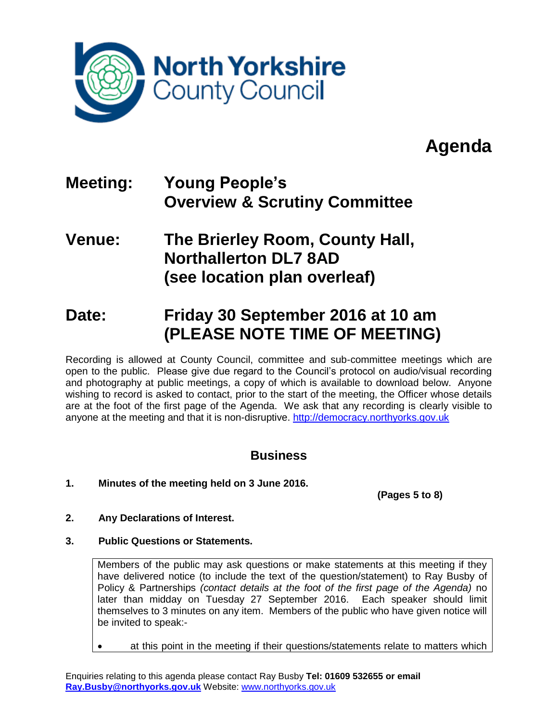

# **Agenda**

## **Meeting: Young People's Overview & Scrutiny Committee**

## **Venue: The Brierley Room, County Hall, Northallerton DL7 8AD (see location plan overleaf)**

## **Date: Friday 30 September 2016 at 10 am (PLEASE NOTE TIME OF MEETING)**

Recording is allowed at County Council, committee and sub-committee meetings which are open to the public. Please give due regard to the Council's protocol on audio/visual recording and photography at public meetings, a copy of which is available to download below. Anyone wishing to record is asked to contact, prior to the start of the meeting, the Officer whose details are at the foot of the first page of the Agenda. We ask that any recording is clearly visible to anyone at the meeting and that it is non-disruptive. [http://democracy.northyorks.gov.uk](http://democracy.northyorks.gov.uk/)

## **Business**

**1. Minutes of the meeting held on 3 June 2016.**

**(Pages 5 to 8)**

- **2. Any Declarations of Interest.**
- **3. Public Questions or Statements.**

Members of the public may ask questions or make statements at this meeting if they have delivered notice (to include the text of the question/statement) to Ray Busby of Policy & Partnerships *(contact details at the foot of the first page of the Agenda)* no later than midday on Tuesday 27 September 2016. Each speaker should limit themselves to 3 minutes on any item. Members of the public who have given notice will be invited to speak:-

at this point in the meeting if their questions/statements relate to matters which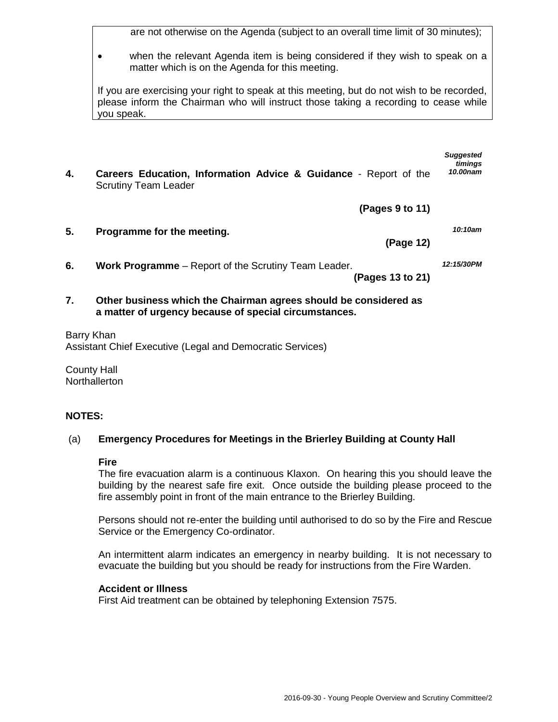are not otherwise on the Agenda (subject to an overall time limit of 30 minutes);

 when the relevant Agenda item is being considered if they wish to speak on a matter which is on the Agenda for this meeting.

If you are exercising your right to speak at this meeting, but do not wish to be recorded, please inform the Chairman who will instruct those taking a recording to cease while you speak.

- *timings* **4. Careers Education, Information Advice & Guidance** - Report of the Scrutiny Team Leader *10.00nam*
	- **(Pages 9 to 11)**
- **5. Programme for the meeting. (Page 12)** *10:10am* **6. Work Programme** – Report of the Scrutiny Team Leader. *12:15/30PM*
	- **(Pages 13 to 21)**
- **7. Other business which the Chairman agrees should be considered as a matter of urgency because of special circumstances.**
- Barry Khan Assistant Chief Executive (Legal and Democratic Services)

County Hall **Northallerton** 

### **NOTES:**

#### (a) **Emergency Procedures for Meetings in the Brierley Building at County Hall**

#### **Fire**

The fire evacuation alarm is a continuous Klaxon. On hearing this you should leave the building by the nearest safe fire exit. Once outside the building please proceed to the fire assembly point in front of the main entrance to the Brierley Building.

Persons should not re-enter the building until authorised to do so by the Fire and Rescue Service or the Emergency Co-ordinator.

An intermittent alarm indicates an emergency in nearby building. It is not necessary to evacuate the building but you should be ready for instructions from the Fire Warden.

#### **Accident or Illness**

First Aid treatment can be obtained by telephoning Extension 7575.

*Suggested*